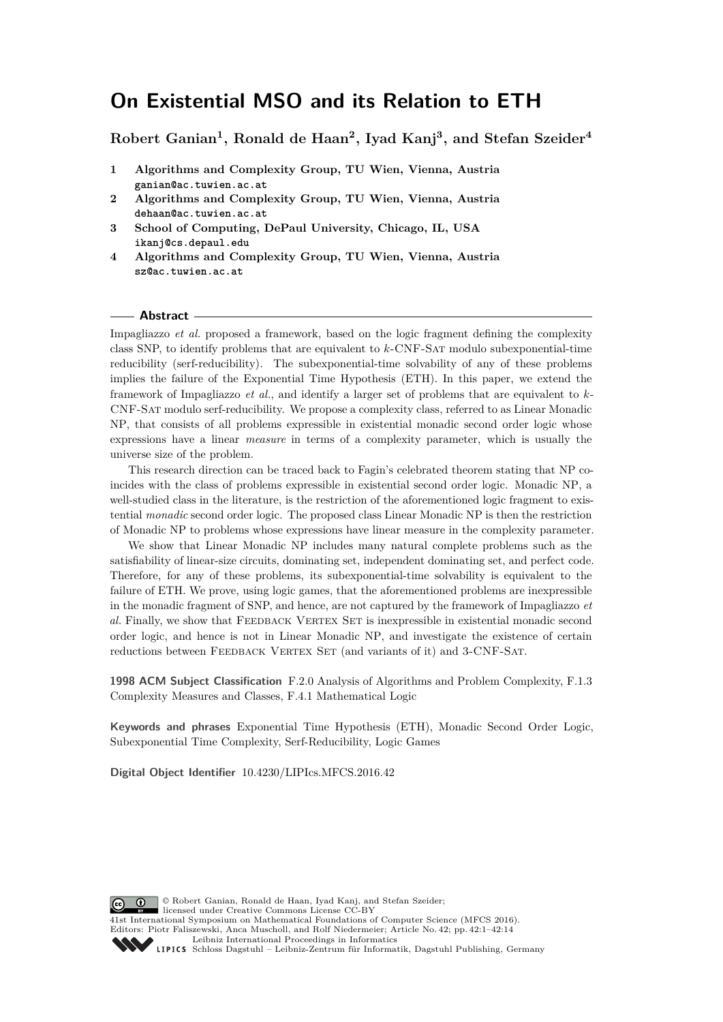# **On Existential MSO and its Relation to ETH**

**Robert Ganian<sup>1</sup> , Ronald de Haan<sup>2</sup> , Iyad Kanj<sup>3</sup> , and Stefan Szeider<sup>4</sup>**

- **1 Algorithms and Complexity Group, TU Wien, Vienna, Austria ganian@ac.tuwien.ac.at**
- **2 Algorithms and Complexity Group, TU Wien, Vienna, Austria dehaan@ac.tuwien.ac.at**
- **3 School of Computing, DePaul University, Chicago, IL, USA ikanj@cs.depaul.edu**
- **4 Algorithms and Complexity Group, TU Wien, Vienna, Austria sz@ac.tuwien.ac.at**

### **Abstract**

Impagliazzo *et al.* proposed a framework, based on the logic fragment defining the complexity class SNP, to identify problems that are equivalent to *k*-CNF-Sat modulo subexponential-time reducibility (serf-reducibility). The subexponential-time solvability of any of these problems implies the failure of the Exponential Time Hypothesis (ETH). In this paper, we extend the framework of Impagliazzo *et al.*, and identify a larger set of problems that are equivalent to *k*-CNF-Sat modulo serf-reducibility. We propose a complexity class, referred to as Linear Monadic NP, that consists of all problems expressible in existential monadic second order logic whose expressions have a linear *measure* in terms of a complexity parameter, which is usually the universe size of the problem.

This research direction can be traced back to Fagin's celebrated theorem stating that NP coincides with the class of problems expressible in existential second order logic. Monadic NP, a well-studied class in the literature, is the restriction of the aforementioned logic fragment to existential *monadic* second order logic. The proposed class Linear Monadic NP is then the restriction of Monadic NP to problems whose expressions have linear measure in the complexity parameter.

We show that Linear Monadic NP includes many natural complete problems such as the satisfiability of linear-size circuits, dominating set, independent dominating set, and perfect code. Therefore, for any of these problems, its subexponential-time solvability is equivalent to the failure of ETH. We prove, using logic games, that the aforementioned problems are inexpressible in the monadic fragment of SNP, and hence, are not captured by the framework of Impagliazzo *et* al. Finally, we show that FEEDBACK VERTEX SET is inexpressible in existential monadic second order logic, and hence is not in Linear Monadic NP, and investigate the existence of certain reductions between FEEDBACK VERTEX SET (and variants of it) and 3-CNF-SAT.

**1998 ACM Subject Classification** F.2.0 Analysis of Algorithms and Problem Complexity, F.1.3 Complexity Measures and Classes, F.4.1 Mathematical Logic

**Keywords and phrases** Exponential Time Hypothesis (ETH), Monadic Second Order Logic, Subexponential Time Complexity, Serf-Reducibility, Logic Games

**Digital Object Identifier** [10.4230/LIPIcs.MFCS.2016.42](http://dx.doi.org/10.4230/LIPIcs.MFCS.2016.42)

© Robert Ganian, Ronald de Haan, Iyad Kanj, and Stefan Szeider; licensed under Creative Commons License CC-BY 41st International Symposium on Mathematical Foundations of Computer Science (MFCS 2016). Editors: Piotr Faliszewski, Anca Muscholl, and Rolf Niedermeier; Article No. 42; pp. 42:1–42[:14](#page-13-0) [Leibniz International Proceedings in Informatics](http://www.dagstuhl.de/lipics/) [Schloss Dagstuhl – Leibniz-Zentrum für Informatik, Dagstuhl Publishing, Germany](http://www.dagstuhl.de)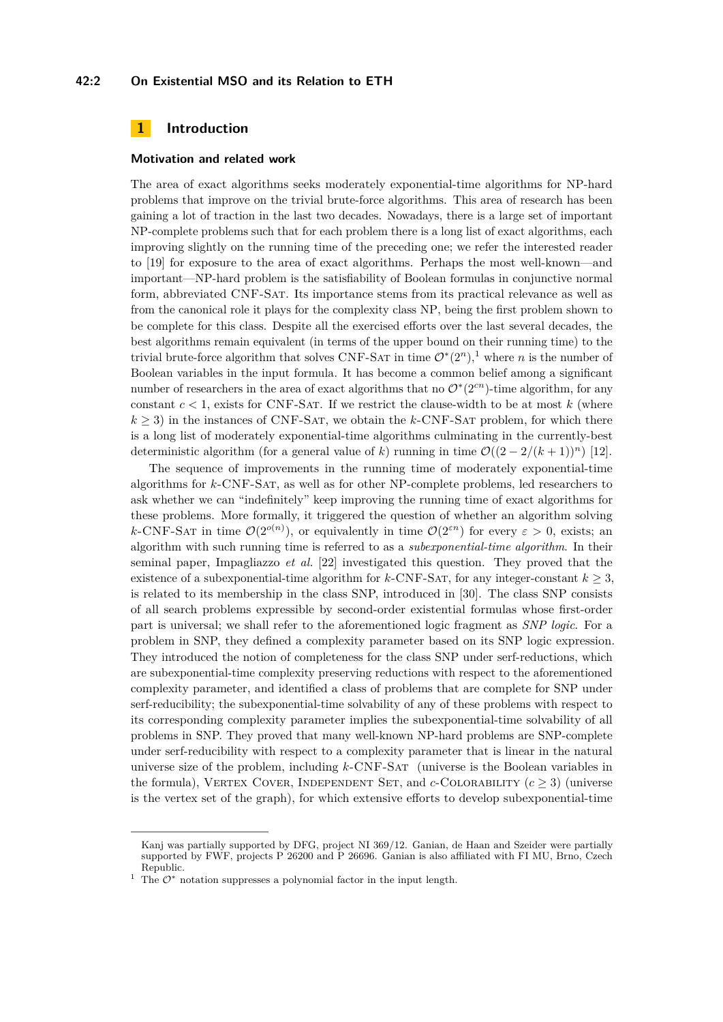## **42:2 On Existential MSO and its Relation to ETH**

## **1 Introduction**

#### **Motivation and related work**

The area of exact algorithms seeks moderately exponential-time algorithms for NP-hard problems that improve on the trivial brute-force algorithms. [T](#page-1-0)his area of research has been gaining a lot of traction in the last two decades. Nowadays, there is a large set of important NP-complete problems such that for each problem there is a long list of exact algorithms, each improving slightly on the running time of the preceding one; we refer the interested reader to [\[19\]](#page-13-1) for exposure to the area of exact algorithms. Perhaps the most well-known—and important—NP-hard problem is the satisfiability of Boolean formulas in conjunctive normal form, abbreviated CNF-Sat. Its importance stems from its practical relevance as well as from the canonical role it plays for the complexity class NP, being the first problem shown to be complete for this class. Despite all the exercised efforts over the last several decades, the best algorithms remain equivalent (in terms of the upper bound on their running time) to the trivial brute-force algorithm that solves CNF-SAT in time  $\mathcal{O}^*(2^n)$ ,<sup>[1](#page-1-1)</sup> where *n* is the number of Boolean variables in the input formula. It has become a common belief among a significant number of researchers in the area of exact algorithms that no  $\mathcal{O}^*(2^{cn})$ -time algorithm, for any constant  $c < 1$ , exists for CNF-SAT. If we restrict the clause-width to be at most  $k$  (where  $k \geq 3$ ) in the instances of CNF-SAT, we obtain the *k*-CNF-SAT problem, for which there is a long list of moderately exponential-time algorithms culminating in the currently-best deterministic algorithm (for a general value of *k*) running in time  $\mathcal{O}((2 - 2/(k+1))^n)$  [\[12\]](#page-12-0).

The sequence of improvements in the running time of moderately exponential-time algorithms for *k*-CNF-Sat, as well as for other NP-complete problems, led researchers to ask whether we can "indefinitely" keep improving the running time of exact algorithms for these problems. More formally, it triggered the question of whether an algorithm solving *k*-CNF-SAT in time  $\mathcal{O}(2^{o(n)})$ , or equivalently in time  $\mathcal{O}(2^{\varepsilon n})$  for every  $\varepsilon > 0$ , exists; an algorithm with such running time is referred to as a *subexponential-time algorithm*. In their seminal paper, Impagliazzo *et al.* [\[22\]](#page-13-2) investigated this question. They proved that the existence of a subexponential-time algorithm for  $k$ -CNF-SAT, for any integer-constant  $k \geq 3$ , is related to its membership in the class SNP, introduced in [\[30\]](#page-13-3). The class SNP consists of all search problems expressible by second-order existential formulas whose first-order part is universal; we shall refer to the aforementioned logic fragment as *SNP logic*. For a problem in SNP, they defined a complexity parameter based on its SNP logic expression. They introduced the notion of completeness for the class SNP under serf-reductions, which are subexponential-time complexity preserving reductions with respect to the aforementioned complexity parameter, and identified a class of problems that are complete for SNP under serf-reducibility; the subexponential-time solvability of any of these problems with respect to its corresponding complexity parameter implies the subexponential-time solvability of all problems in SNP. They proved that many well-known NP-hard problems are SNP-complete under serf-reducibility with respect to a complexity parameter that is linear in the natural universe size of the problem, including *k*-CNF-Sat (universe is the Boolean variables in the formula), VERTEX COVER, INDEPENDENT SET, and *c*-COLORABILITY  $(c > 3)$  (universe is the vertex set of the graph), for which extensive efforts to develop subexponential-time

<span id="page-1-0"></span>Kanj was partially supported by DFG, project NI 369/12. Ganian, de Haan and Szeider were partially supported by FWF, projects P 26200 and P 26696. Ganian is also affiliated with FI MU, Brno, Czech Republic.

<span id="page-1-1"></span><sup>&</sup>lt;sup>1</sup> The  $\mathcal{O}^*$  notation suppresses a polynomial factor in the input length.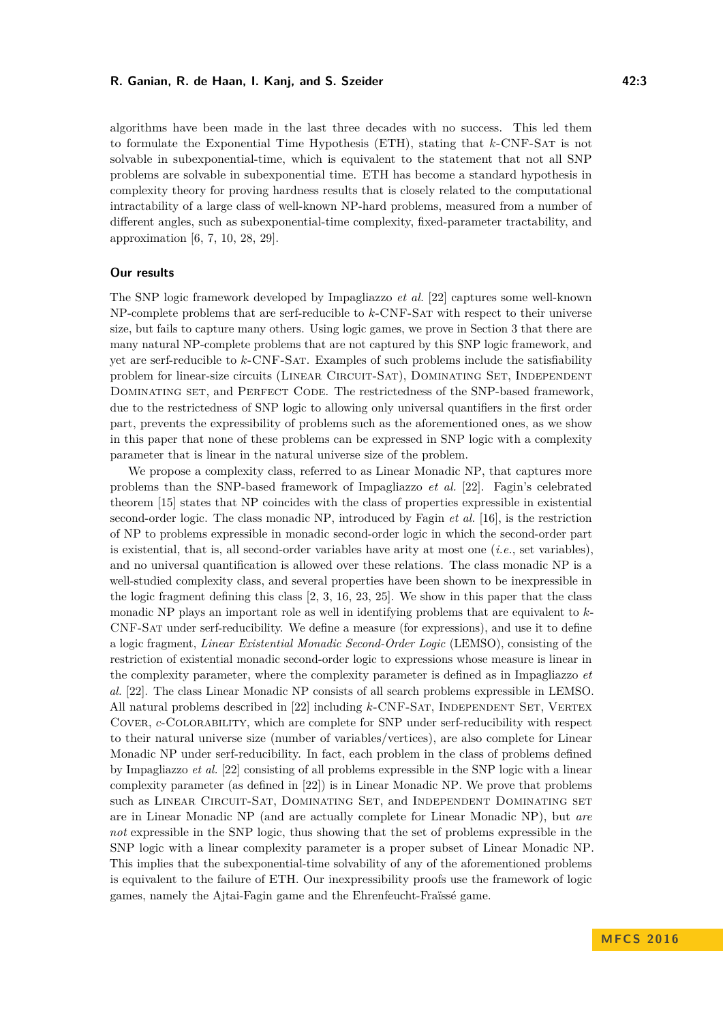algorithms have been made in the last three decades with no success. This led them to formulate the Exponential Time Hypothesis (ETH), stating that *k*-CNF-Sat is not solvable in subexponential-time, which is equivalent to the statement that not all SNP problems are solvable in subexponential time. ETH has become a standard hypothesis in complexity theory for proving hardness results that is closely related to the computational intractability of a large class of well-known NP-hard problems, measured from a number of different angles, such as subexponential-time complexity, fixed-parameter tractability, and approximation [\[6,](#page-12-1) [7,](#page-12-2) [10,](#page-12-3) [28,](#page-13-4) [29\]](#page-13-5).

## **Our results**

The SNP logic framework developed by Impagliazzo *et al.* [\[22\]](#page-13-2) captures some well-known NP-complete problems that are serf-reducible to *k*-CNF-Sat with respect to their universe size, but fails to capture many others. Using logic games, we prove in Section [3](#page-4-0) that there are many natural NP-complete problems that are not captured by this SNP logic framework, and yet are serf-reducible to *k*-CNF-Sat. Examples of such problems include the satisfiability problem for linear-size circuits (LINEAR CIRCUIT-SAT), DOMINATING SET, INDEPENDENT DOMINATING SET, and PERFECT CODE. The restrictedness of the SNP-based framework, due to the restrictedness of SNP logic to allowing only universal quantifiers in the first order part, prevents the expressibility of problems such as the aforementioned ones, as we show in this paper that none of these problems can be expressed in SNP logic with a complexity parameter that is linear in the natural universe size of the problem.

We propose a complexity class, referred to as Linear Monadic NP, that captures more problems than the SNP-based framework of Impagliazzo *et al.* [\[22\]](#page-13-2). Fagin's celebrated theorem [\[15\]](#page-13-6) states that NP coincides with the class of properties expressible in existential second-order logic. The class monadic NP, introduced by Fagin *et al.* [\[16\]](#page-13-7), is the restriction of NP to problems expressible in monadic second-order logic in which the second-order part is existential, that is, all second-order variables have arity at most one (*i.e.*, set variables), and no universal quantification is allowed over these relations. The class monadic NP is a well-studied complexity class, and several properties have been shown to be inexpressible in the logic fragment defining this class [\[2,](#page-12-4) [3,](#page-12-5) [16,](#page-13-7) [23,](#page-13-8) [25\]](#page-13-9). We show in this paper that the class monadic NP plays an important role as well in identifying problems that are equivalent to *k*-CNF-Sat under serf-reducibility. We define a measure (for expressions), and use it to define a logic fragment, *Linear Existential Monadic Second-Order Logic* (LEMSO), consisting of the restriction of existential monadic second-order logic to expressions whose measure is linear in the complexity parameter, where the complexity parameter is defined as in Impagliazzo *et al.* [\[22\]](#page-13-2). The class Linear Monadic NP consists of all search problems expressible in LEMSO. All natural problems described in [\[22\]](#page-13-2) including *k*-CNF-SAT, INDEPENDENT SET, VERTEX Cover, *c*-Colorability, which are complete for SNP under serf-reducibility with respect to their natural universe size (number of variables/vertices), are also complete for Linear Monadic NP under serf-reducibility. In fact, each problem in the class of problems defined by Impagliazzo *et al.* [\[22\]](#page-13-2) consisting of all problems expressible in the SNP logic with a linear complexity parameter (as defined in [\[22\]](#page-13-2)) is in Linear Monadic NP. We prove that problems such as LINEAR CIRCUIT-SAT, DOMINATING SET, and INDEPENDENT DOMINATING SET are in Linear Monadic NP (and are actually complete for Linear Monadic NP), but *are not* expressible in the SNP logic, thus showing that the set of problems expressible in the SNP logic with a linear complexity parameter is a proper subset of Linear Monadic NP. This implies that the subexponential-time solvability of any of the aforementioned problems is equivalent to the failure of ETH. Our inexpressibility proofs use the framework of logic games, namely the Ajtai-Fagin game and the Ehrenfeucht-Fraïssé game.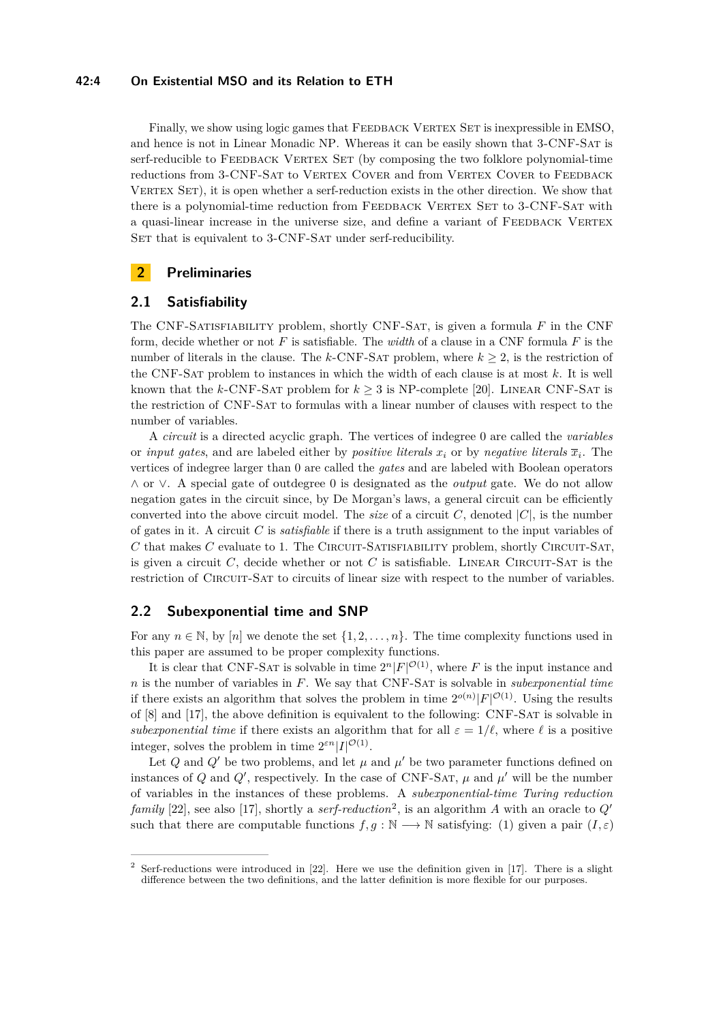## **42:4 On Existential MSO and its Relation to ETH**

Finally, we show using logic games that FEEDBACK VERTEX SET is inexpressible in EMSO, and hence is not in Linear Monadic NP. Whereas it can be easily shown that 3-CNF-Sat is serf-reducible to FEEDBACK VERTEX SET (by composing the two folklore polynomial-time reductions from 3-CNF-SAT to VERTEX COVER and from VERTEX COVER to FEEDBACK VERTEX SET), it is open whether a serf-reduction exists in the other direction. We show that there is a polynomial-time reduction from FEEDBACK VERTEX SET to 3-CNF-SAT with a quasi-linear increase in the universe size, and define a variant of FEEDBACK VERTEX SET that is equivalent to 3-CNF-SAT under serf-reducibility.

# **2 Preliminaries**

## **2.1 Satisfiability**

The CNF-Satisfiability problem, shortly CNF-Sat, is given a formula *F* in the CNF form, decide whether or not *F* is satisfiable. The *width* of a clause in a CNF formula *F* is the number of literals in the clause. The  $k$ -CNF-SAT problem, where  $k \geq 2$ , is the restriction of the CNF-Sat problem to instances in which the width of each clause is at most *k*. It is well known that the  $k$ -CNF-SAT problem for  $k \geq 3$  is NP-complete [\[20\]](#page-13-10). LINEAR CNF-SAT is the restriction of CNF-Sat to formulas with a linear number of clauses with respect to the number of variables.

A *circuit* is a directed acyclic graph. The vertices of indegree 0 are called the *variables* or *input gates*, and are labeled either by *positive literals*  $x_i$  or by *negative literals*  $\overline{x}_i$ . The vertices of indegree larger than 0 are called the *gates* and are labeled with Boolean operators ∧ or ∨. A special gate of outdegree 0 is designated as the *output* gate. We do not allow negation gates in the circuit since, by De Morgan's laws, a general circuit can be efficiently converted into the above circuit model. The *size* of a circuit  $C$ , denoted  $|C|$ , is the number of gates in it. A circuit *C* is *satisfiable* if there is a truth assignment to the input variables of *C* that makes *C* evaluate to 1. The CIRCUIT-SATISFIABILITY problem, shortly CIRCUIT-SAT, is given a circuit  $C$ , decide whether or not  $C$  is satisfiable. LINEAR CIRCUIT-SAT is the restriction of Circuit-Sat to circuits of linear size with respect to the number of variables.

## **2.2 Subexponential time and SNP**

For any  $n \in \mathbb{N}$ , by [*n*] we denote the set  $\{1, 2, \ldots, n\}$ . The time complexity functions used in this paper are assumed to be proper complexity functions.

It is clear that CNF-SAT is solvable in time  $2^n|F|^{\mathcal{O}(1)}$ , where *F* is the input instance and *n* is the number of variables in *F*. We say that CNF-Sat is solvable in *subexponential time* if there exists an algorithm that solves the problem in time  $2^{o(n)}|F|^{\mathcal{O}(1)}$ . Using the results of [\[8\]](#page-12-6) and [\[17\]](#page-13-11), the above definition is equivalent to the following: CNF-Sat is solvable in *subexponential time* if there exists an algorithm that for all  $\varepsilon = 1/\ell$ , where  $\ell$  is a positive integer, solves the problem in time  $2^{\varepsilon n} |I|^{\mathcal{O}(1)}$ .

Let  $Q$  and  $Q'$  be two problems, and let  $\mu$  and  $\mu'$  be two parameter functions defined on instances of *Q* and *Q*', respectively. In the case of CNF-SAT,  $\mu$  and  $\mu'$  will be the number of variables in the instances of these problems. A *subexponential-time Turing reduction family* [\[22\]](#page-13-2), see also [\[17\]](#page-13-11), shortly a *serf-reduction*<sup>[2](#page-3-0)</sup>, is an algorithm *A* with an oracle to  $Q'$ such that there are computable functions  $f, g : \mathbb{N} \longrightarrow \mathbb{N}$  satisfying: (1) given a pair  $(I, \varepsilon)$ 

<span id="page-3-0"></span><sup>&</sup>lt;sup>2</sup> Serf-reductions were introduced in [\[22\]](#page-13-2). Here we use the definition given in [\[17\]](#page-13-11). There is a slight difference between the two definitions, and the latter definition is more flexible for our purposes.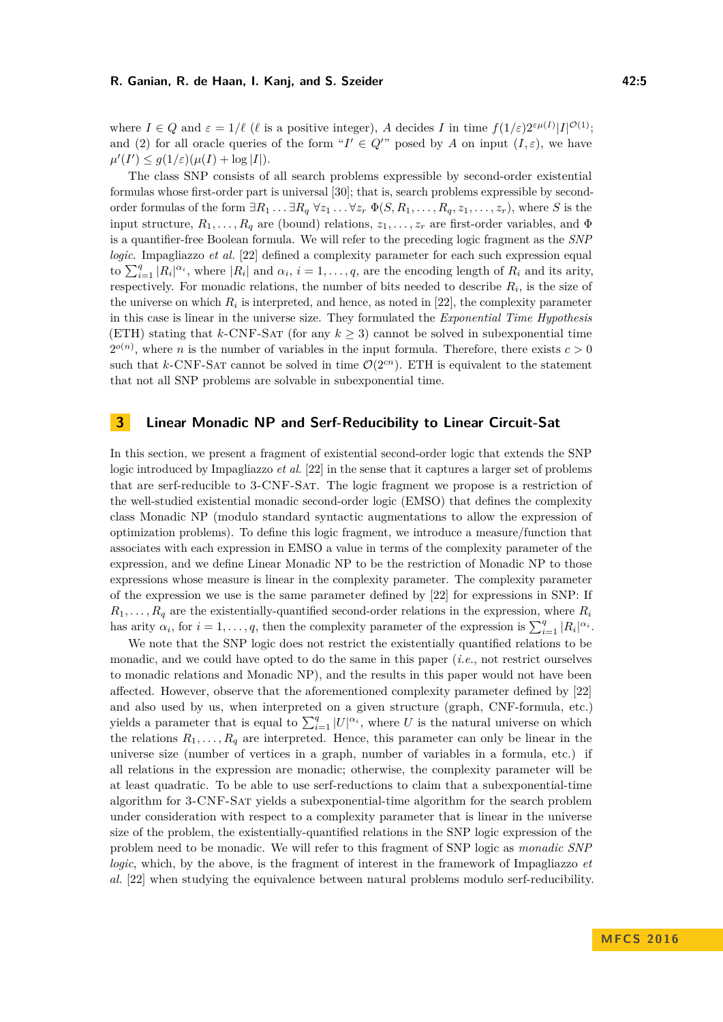where  $I \in Q$  and  $\varepsilon = 1/\ell$  ( $\ell$  is a positive integer), *A* decides *I* in time  $f(1/\varepsilon)2^{\varepsilon \mu(I)}|I|^{\mathcal{O}(1)}$ ; and (2) for all oracle queries of the form " $I' \in Q''$ " posed by A on input  $(I, \varepsilon)$ , we have  $\mu'(I') \leq g(1/\varepsilon)(\mu(I) + \log|I|).$ 

The class SNP consists of all search problems expressible by second-order existential formulas whose first-order part is universal [\[30\]](#page-13-3); that is, search problems expressible by secondorder formulas of the form  $\exists R_1 \dots \exists R_q \ \forall z_1 \dots \forall z_r \ \Phi(S, R_1, \dots, R_q, z_1, \dots, z_r)$ , where *S* is the input structure,  $R_1, \ldots, R_q$  are (bound) relations,  $z_1, \ldots, z_r$  are first-order variables, and  $\Phi$ is a quantifier-free Boolean formula. We will refer to the preceding logic fragment as the *SNP logic*. Impagliazzo *et al.* [\[22\]](#page-13-2) defined a complexity parameter for each such expression equal to  $\sum_{i=1}^{q} |R_i|^{\alpha_i}$ , where  $|R_i|$  and  $\alpha_i$ ,  $i = 1, \ldots, q$ , are the encoding length of  $R_i$  and its arity, respectively. For monadic relations, the number of bits needed to describe *R<sup>i</sup>* , is the size of the universe on which  $R_i$  is interpreted, and hence, as noted in [\[22\]](#page-13-2), the complexity parameter in this case is linear in the universe size. They formulated the *Exponential Time Hypothesis* (ETH) stating that  $k$ -CNF-SAT (for any  $k \geq 3$ ) cannot be solved in subexponential time  $2^{o(n)}$ , where *n* is the number of variables in the input formula. Therefore, there exists  $c > 0$ such that *k*-CNF-SAT cannot be solved in time  $\mathcal{O}(2^{cn})$ . ETH is equivalent to the statement that not all SNP problems are solvable in subexponential time.

# <span id="page-4-0"></span>**3 Linear Monadic NP and Serf-Reducibility to Linear Circuit-Sat**

In this section, we present a fragment of existential second-order logic that extends the SNP logic introduced by Impagliazzo *et al.* [\[22\]](#page-13-2) in the sense that it captures a larger set of problems that are serf-reducible to 3-CNF-Sat. The logic fragment we propose is a restriction of the well-studied existential monadic second-order logic (EMSO) that defines the complexity class Monadic NP (modulo standard syntactic augmentations to allow the expression of optimization problems). To define this logic fragment, we introduce a measure/function that associates with each expression in EMSO a value in terms of the complexity parameter of the expression, and we define Linear Monadic NP to be the restriction of Monadic NP to those expressions whose measure is linear in the complexity parameter. The complexity parameter of the expression we use is the same parameter defined by [\[22\]](#page-13-2) for expressions in SNP: If  $R_1, \ldots, R_q$  are the existentially-quantified second-order relations in the expression, where  $R_i$ has arity  $\alpha_i$ , for  $i = 1, ..., q$ , then the complexity parameter of the expression is  $\sum_{i=1}^q |R_i|^{\alpha_i}$ .

We note that the SNP logic does not restrict the existentially quantified relations to be monadic, and we could have opted to do the same in this paper (*i.e.*, not restrict ourselves to monadic relations and Monadic NP), and the results in this paper would not have been affected. However, observe that the aforementioned complexity parameter defined by [\[22\]](#page-13-2) and also used by us, when interpreted on a given structure (graph, CNF-formula, etc.) yields a parameter that is equal to  $\sum_{i=1}^{q} |U|^{\alpha_i}$ , where *U* is the natural universe on which the relations  $R_1, \ldots, R_q$  are interpreted. Hence, this parameter can only be linear in the universe size (number of vertices in a graph, number of variables in a formula, etc.) if all relations in the expression are monadic; otherwise, the complexity parameter will be at least quadratic. To be able to use serf-reductions to claim that a subexponential-time algorithm for 3-CNF-Sat yields a subexponential-time algorithm for the search problem under consideration with respect to a complexity parameter that is linear in the universe size of the problem, the existentially-quantified relations in the SNP logic expression of the problem need to be monadic. We will refer to this fragment of SNP logic as *monadic SNP logic*, which, by the above, is the fragment of interest in the framework of Impagliazzo *et al.* [\[22\]](#page-13-2) when studying the equivalence between natural problems modulo serf-reducibility.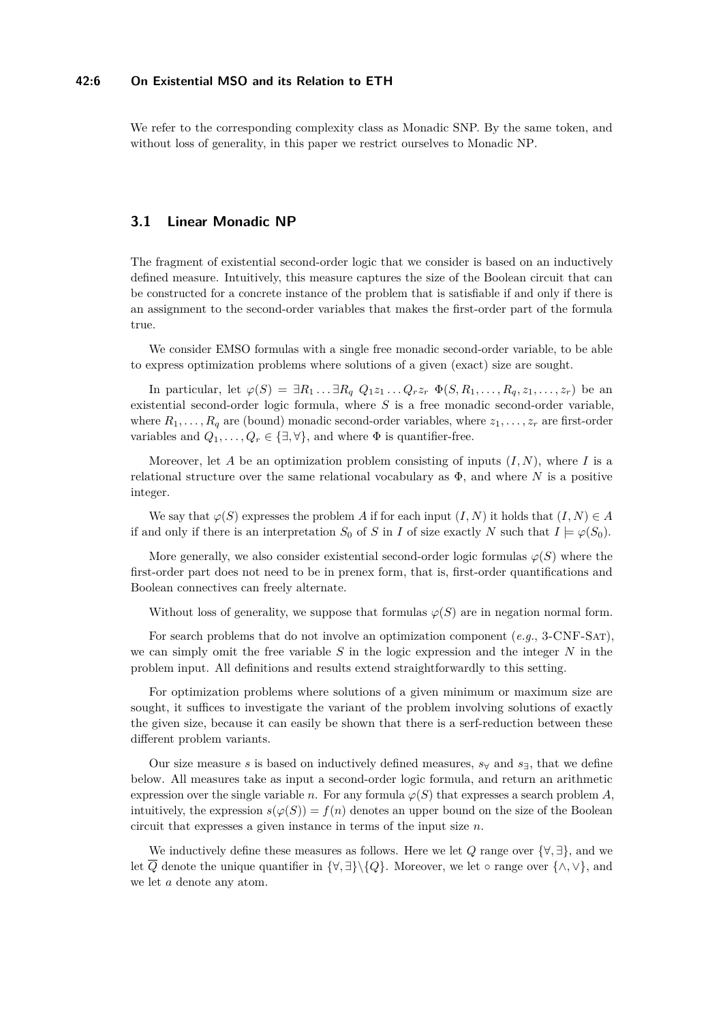#### **42:6 On Existential MSO and its Relation to ETH**

We refer to the corresponding complexity class as Monadic SNP. By the same token, and without loss of generality, in this paper we restrict ourselves to Monadic NP.

## **3.1 Linear Monadic NP**

The fragment of existential second-order logic that we consider is based on an inductively defined measure. Intuitively, this measure captures the size of the Boolean circuit that can be constructed for a concrete instance of the problem that is satisfiable if and only if there is an assignment to the second-order variables that makes the first-order part of the formula true.

We consider EMSO formulas with a single free monadic second-order variable, to be able to express optimization problems where solutions of a given (exact) size are sought.

In particular, let  $\varphi(S) = \exists R_1 \dots \exists R_q \ Q_1 z_1 \dots Q_r z_r \ \Phi(S, R_1, \dots, R_q, z_1, \dots, z_r)$  be an existential second-order logic formula, where *S* is a free monadic second-order variable, where  $R_1, \ldots, R_q$  are (bound) monadic second-order variables, where  $z_1, \ldots, z_r$  are first-order variables and  $Q_1, \ldots, Q_r \in \{\exists, \forall\}$ , and where  $\Phi$  is quantifier-free.

Moreover, let *A* be an optimization problem consisting of inputs  $(I, N)$ , where *I* is a relational structure over the same relational vocabulary as  $\Phi$ , and where *N* is a positive integer.

We say that  $\varphi(S)$  expresses the problem *A* if for each input  $(I, N)$  it holds that  $(I, N) \in A$ if and only if there is an interpretation  $S_0$  of *S* in *I* of size exactly *N* such that  $I \models \varphi(S_0)$ .

More generally, we also consider existential second-order logic formulas  $\varphi(S)$  where the first-order part does not need to be in prenex form, that is, first-order quantifications and Boolean connectives can freely alternate.

Without loss of generality, we suppose that formulas  $\varphi(S)$  are in negation normal form.

For search problems that do not involve an optimization component (*e.g.*, 3-CNF-Sat), we can simply omit the free variable *S* in the logic expression and the integer *N* in the problem input. All definitions and results extend straightforwardly to this setting.

For optimization problems where solutions of a given minimum or maximum size are sought, it suffices to investigate the variant of the problem involving solutions of exactly the given size, because it can easily be shown that there is a serf-reduction between these different problem variants.

Our size measure *s* is based on inductively defined measures,  $s_{\forall}$  and  $s_{\exists}$ , that we define below. All measures take as input a second-order logic formula, and return an arithmetic expression over the single variable *n*. For any formula  $\varphi(S)$  that expresses a search problem *A*, intuitively, the expression  $s(\varphi(S)) = f(n)$  denotes an upper bound on the size of the Boolean circuit that expresses a given instance in terms of the input size *n*.

We inductively define these measures as follows. Here we let *Q* range over {∀*,* ∃}, and we let  $\overline{Q}$  denote the unique quantifier in  $\{\forall,\exists\}\setminus\{Q\}$ . Moreover, we let ∘ range over  $\{\wedge,\vee\}$ , and we let *a* denote any atom.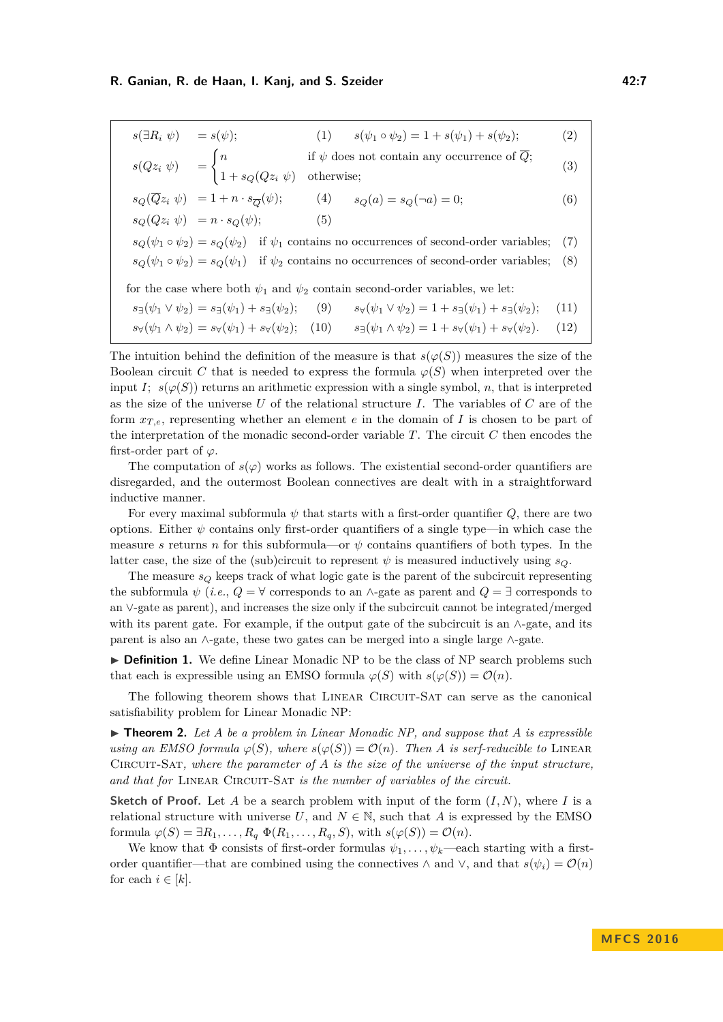<span id="page-6-2"></span><span id="page-6-0"></span>

| $s(\exists R_i \psi) = s(\psi);$                                                      |                                                                                       |                                                    | (1) $s(\psi_1 \circ \psi_2) = 1 + s(\psi_1) + s(\psi_2);$                                               | (2)  |
|---------------------------------------------------------------------------------------|---------------------------------------------------------------------------------------|----------------------------------------------------|---------------------------------------------------------------------------------------------------------|------|
| $s(Qz_i \psi) = \begin{cases} n \\ 1 + s_Q(Qz_i \psi) \end{cases}$                    |                                                                                       | if $\psi$ does not contain any occurrence of $Q$ ; |                                                                                                         | (3)  |
|                                                                                       | otherwise;                                                                            |                                                    |                                                                                                         |      |
|                                                                                       | $s_Q(\overline{Q}z_i \psi) = 1 + n \cdot s_{\overline{Q}}(\psi);$                     |                                                    | (4) $s_Q(a) = s_Q(\neg a) = 0;$                                                                         | (6)  |
|                                                                                       | $s_O(Qz_i \psi) = n \cdot s_O(\psi);$                                                 | (5)                                                |                                                                                                         |      |
|                                                                                       |                                                                                       |                                                    | $s_Q(\psi_1 \circ \psi_2) = s_Q(\psi_2)$ if $\psi_1$ contains no occurrences of second-order variables; | (7)  |
|                                                                                       |                                                                                       |                                                    | $s_O(\psi_1 \circ \psi_2) = s_O(\psi_1)$ if $\psi_2$ contains no occurrences of second-order variables; | (8)  |
| for the case where both $\psi_1$ and $\psi_2$ contain second-order variables, we let: |                                                                                       |                                                    |                                                                                                         |      |
|                                                                                       | $s_{\exists}(\psi_1 \vee \psi_2) = s_{\exists}(\psi_1) + s_{\exists}(\psi_2);$        | (9)                                                | $s_{\forall}(\psi_1 \vee \psi_2) = 1 + s_{\exists}(\psi_1) + s_{\exists}(\psi_2);$                      | (11) |
|                                                                                       | $s_{\forall}(\psi_1 \wedge \psi_2) = s_{\forall}(\psi_1) + s_{\forall}(\psi_2);$ (10) |                                                    | $s_{\exists}(\psi_1 \wedge \psi_2) = 1 + s_{\forall}(\psi_1) + s_{\forall}(\psi_2).$                    | (12) |

<span id="page-6-1"></span>The intuition behind the definition of the measure is that  $s(\varphi(S))$  measures the size of the Boolean circuit *C* that is needed to express the formula  $\varphi(S)$  when interpreted over the input *I*;  $s(\varphi(S))$  returns an arithmetic expression with a single symbol, *n*, that is interpreted as the size of the universe *U* of the relational structure *I*. The variables of *C* are of the form  $x_{T,e}$ , representing whether an element *e* in the domain of *I* is chosen to be part of the interpretation of the monadic second-order variable *T*. The circuit *C* then encodes the first-order part of  $\varphi$ .

The computation of  $s(\varphi)$  works as follows. The existential second-order quantifiers are disregarded, and the outermost Boolean connectives are dealt with in a straightforward inductive manner.

For every maximal subformula  $\psi$  that starts with a first-order quantifier  $Q$ , there are two options. Either  $\psi$  contains only first-order quantifiers of a single type—in which case the measure *s* returns *n* for this subformula—or  $\psi$  contains quantifiers of both types. In the latter case, the size of the (sub)circuit to represent  $\psi$  is measured inductively using  $s_Q$ .

The measure  $s_Q$  keeps track of what logic gate is the parent of the subcircuit representing the subformula  $\psi$  (*i.e.*,  $Q = \forall$  corresponds to an  $\wedge$ -gate as parent and  $Q = \exists$  corresponds to an ∨-gate as parent), and increases the size only if the subcircuit cannot be integrated/merged with its parent gate. For example, if the output gate of the subcircuit is an ∧-gate, and its parent is also an ∧-gate, these two gates can be merged into a single large ∧-gate.

► **Definition 1.** We define Linear Monadic NP to be the class of NP search problems such that each is expressible using an EMSO formula  $\varphi(S)$  with  $s(\varphi(S)) = \mathcal{O}(n)$ .

The following theorem shows that LINEAR CIRCUIT-SAT can serve as the canonical satisfiability problem for Linear Monadic NP:

<span id="page-6-3"></span>▶ **Theorem 2.** Let *A* be a problem in Linear Monadic NP, and suppose that *A* is expressible *using an EMSO formula*  $\varphi(S)$ *, where*  $s(\varphi(S)) = \mathcal{O}(n)$ *. Then A is serf-reducible to* LINEAR Circuit-Sat*, where the parameter of A is the size of the universe of the input structure, and that for* Linear Circuit-Sat *is the number of variables of the circuit.*

**Sketch of Proof.** Let *A* be a search problem with input of the form  $(I, N)$ , where *I* is a relational structure with universe U, and  $N \in \mathbb{N}$ , such that A is expressed by the EMSO formula  $\varphi(S) = \exists R_1, \ldots, R_q \Phi(R_1, \ldots, R_q, S)$ , with  $s(\varphi(S)) = \mathcal{O}(n)$ .

We know that  $\Phi$  consists of first-order formulas  $\psi_1, \ldots, \psi_k$ —each starting with a firstorder quantifier—that are combined using the connectives  $\wedge$  and  $\vee$ , and that  $s(\psi_i) = \mathcal{O}(n)$ for each  $i \in [k]$ .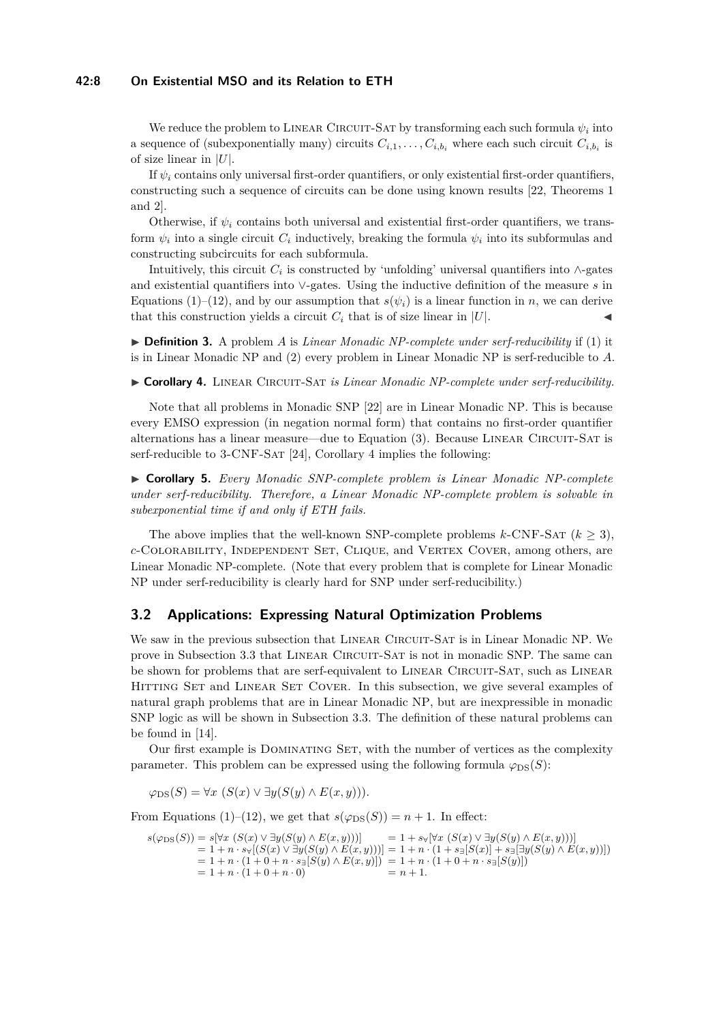## **42:8 On Existential MSO and its Relation to ETH**

We reduce the problem to LINEAR CIRCUIT-SAT by transforming each such formula  $\psi_i$  into a sequence of (subexponentially many) circuits  $C_{i,1}, \ldots, C_{i,b_i}$  where each such circuit  $C_{i,b_i}$  is of size linear in |*U*|.

If  $\psi_i$  contains only universal first-order quantifiers, or only existential first-order quantifiers, constructing such a sequence of circuits can be done using known results [\[22,](#page-13-2) Theorems 1 and 2].

Otherwise, if  $\psi_i$  contains both universal and existential first-order quantifiers, we transform  $\psi_i$  into a single circuit  $C_i$  inductively, breaking the formula  $\psi_i$  into its subformulas and constructing subcircuits for each subformula.

Intuitively, this circuit  $C_i$  is constructed by 'unfolding' universal quantifiers into  $\wedge$ -gates and existential quantifiers into ∨-gates. Using the inductive definition of the measure *s* in Equations [\(1\)](#page-6-0)–[\(12\)](#page-6-1), and by our assumption that  $s(\psi_i)$  is a linear function in *n*, we can derive that this construction yields a circuit  $C_i$  that is of size linear in  $|U|$ .

▶ **Definition 3.** A problem *A* is *Linear Monadic NP-complete under serf-reducibility* if (1) it is in Linear Monadic NP and (2) every problem in Linear Monadic NP is serf-reducible to *A*.

<span id="page-7-0"></span>► Corollary 4. LINEAR CIRCUIT-SAT *is Linear Monadic NP-complete under serf-reducibility.* 

Note that all problems in Monadic SNP [\[22\]](#page-13-2) are in Linear Monadic NP. This is because every EMSO expression (in negation normal form) that contains no first-order quantifier alternations has a linear measure—due to Equation [\(3\)](#page-6-2). Because Linear Circuit-Sat is serf-reducible to 3-CNF-SAT [\[24\]](#page-13-12), Corollary [4](#page-7-0) implies the following:

I **Corollary 5.** *Every Monadic SNP-complete problem is Linear Monadic NP-complete under serf-reducibility. Therefore, a Linear Monadic NP-complete problem is solvable in subexponential time if and only if ETH fails.*

The above implies that the well-known SNP-complete problems  $k$ -CNF-SAT  $(k > 3)$ , *c*-Colorability, Independent Set, Clique, and Vertex Cover, among others, are Linear Monadic NP-complete. (Note that every problem that is complete for Linear Monadic NP under serf-reducibility is clearly hard for SNP under serf-reducibility.)

## <span id="page-7-1"></span>**3.2 Applications: Expressing Natural Optimization Problems**

We saw in the previous subsection that LINEAR CIRCUIT-SAT is in Linear Monadic NP. We prove in Subsection [3.3](#page-8-0) that Linear Circuit-Sat is not in monadic SNP. The same can be shown for problems that are serf-equivalent to LINEAR CIRCUIT-SAT, such as LINEAR Hitting Set and Linear Set Cover. In this subsection, we give several examples of natural graph problems that are in Linear Monadic NP, but are inexpressible in monadic SNP logic as will be shown in Subsection [3.3.](#page-8-0) The definition of these natural problems can be found in [\[14\]](#page-13-13).

Our first example is DOMINATING SET, with the number of vertices as the complexity parameter. This problem can be expressed using the following formula  $\varphi_{DS}(S)$ :

$$
\varphi_{\text{DS}}(S) = \forall x \ (S(x) \lor \exists y (S(y) \land E(x, y))).
$$

From Equations [\(1\)](#page-6-0)–[\(12\)](#page-6-1), we get that  $s(\varphi_{DS}(S)) = n + 1$ . In effect:

```
s(\varphi_{\text{DS}}(S)) = s[\forall x \ (S(x) \lor \exists y(S(y) \land E(x, y)))) = 1 + s_{\forall}[\forall x \ (S(x) \lor \exists y(S(y) \land E(x, y))))]= 1 + n \cdot s_{\forall}[(S(x) \vee \exists y(S(y) \wedge E(x, y))))] = 1 + n \cdot (1 + s_{\exists}[S(x)] + s_{\exists}[\exists y(S(y) \wedge E(x, y))])= 1 + n \cdot (1 + 0 + n \cdot s = [S(y) \wedge E(x, y)]) = 1 + n \cdot (1 + 0 + n \cdot s = [S(y)])<br>= 1 + n · (1 + 0 + n · 0) = n + 1
       = 1 + n \cdot (1 + 0 + n \cdot 0)
```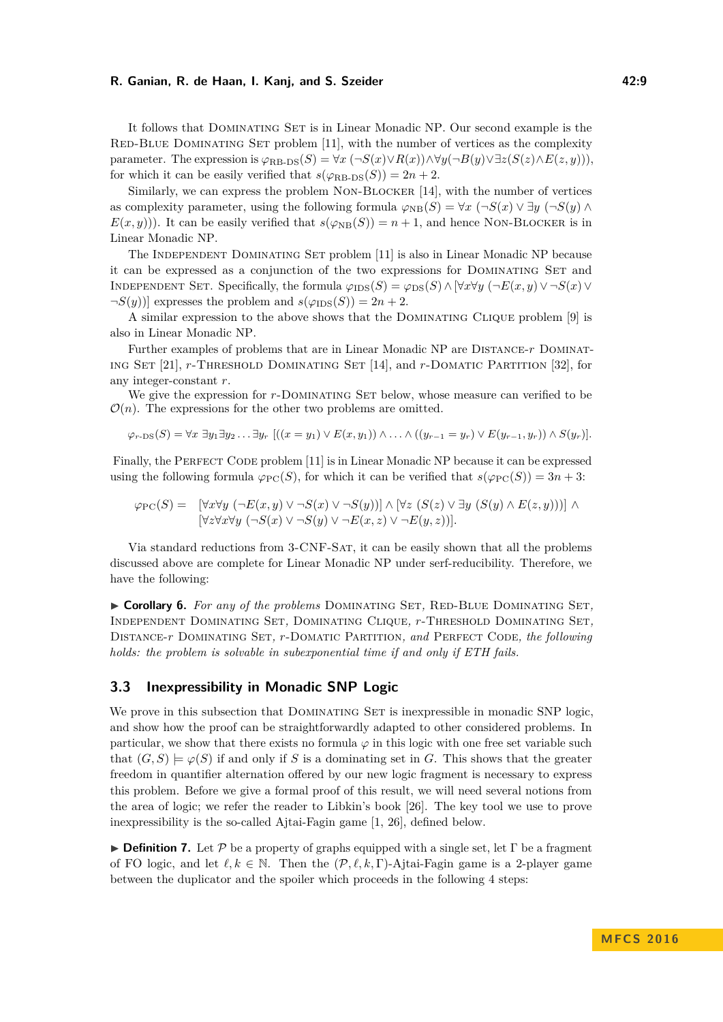It follows that DOMINATING SET is in Linear Monadic NP. Our second example is the Red-Blue Dominating Set problem [\[11\]](#page-12-7), with the number of vertices as the complexity parameter. The expression is  $\varphi_{\text{RB-DS}}(S) = \forall x (\neg S(x) \lor R(x)) \land \forall y (\neg B(y) \lor \exists z (S(z) \land E(z, y))),$ for which it can be easily verified that  $s(\varphi_{RB-DS}(S)) = 2n + 2$ .

Similarly, we can express the problem Non-Blocker [\[14\]](#page-13-13), with the number of vertices as complexity parameter, using the following formula  $\varphi_{\text{NB}}(S) = \forall x \ (\neg S(x) \lor \exists y \ (\neg S(y) \land \neg S(y))$  $E(x, y)$ )). It can be easily verified that  $s(\varphi_{NB}(S)) = n + 1$ , and hence NON-BLOCKER is in Linear Monadic NP.

The Independent Dominating Set problem [\[11\]](#page-12-7) is also in Linear Monadic NP because it can be expressed as a conjunction of the two expressions for DOMINATING SET and INDEPENDENT SET. Specifically, the formula  $\varphi_{\text{IDS}}(S) = \varphi_{\text{DS}}(S) \wedge [\forall x \forall y (\neg E(x, y) \vee \neg S(x) \vee$  $\neg S(y)$ ] expresses the problem and  $s(\varphi_{\text{IDS}}(S)) = 2n + 2$ .

A similar expression to the above shows that the Dominating Clique problem [\[9\]](#page-12-8) is also in Linear Monadic NP.

Further examples of problems that are in Linear Monadic NP are Distance-*r* Dominating Set [\[21\]](#page-13-14), *r*-Threshold Dominating Set [\[14\]](#page-13-13), and *r*-Domatic Partition [\[32\]](#page-13-15), for any integer-constant *r*.

We give the expression for *r*-DOMINATING SET below, whose measure can verified to be  $\mathcal{O}(n)$ . The expressions for the other two problems are omitted.

$$
\varphi_{r\text{-DS}}(S) = \forall x \ \exists y_1 \exists y_2 \dots \exists y_r \ [((x = y_1) \lor E(x, y_1)) \land \dots \land ((y_{r-1} = y_r) \lor E(y_{r-1}, y_r)) \land S(y_r)].
$$

Finally, the PERFECT CODE problem [\[11\]](#page-12-7) is in Linear Monadic NP because it can be expressed using the following formula  $\varphi_{\text{PC}}(S)$ , for which it can be verified that  $s(\varphi_{\text{PC}}(S)) = 3n + 3$ :

$$
\varphi_{\rm PC}(S) = \left[ \forall x \forall y \left( \neg E(x, y) \lor \neg S(x) \lor \neg S(y) \right) \right] \land \left[ \forall z \left( S(z) \lor \exists y \left( S(y) \land E(z, y) \right) \right) \right] \land \\ \left[ \forall z \forall x \forall y \left( \neg S(x) \lor \neg S(y) \lor \neg E(x, z) \lor \neg E(y, z) \right) \right].
$$

Via standard reductions from 3-CNF-Sat, it can be easily shown that all the problems discussed above are complete for Linear Monadic NP under serf-reducibility. Therefore, we have the following:

I **Corollary 6.** *For any of the problems* Dominating Set*,* Red-Blue Dominating Set*,* Independent Dominating Set*,* Dominating Clique*, r*-Threshold Dominating Set*,* Distance-*r* Dominating Set*, r*-Domatic Partition*, and* Perfect Code*, the following holds: the problem is solvable in subexponential time if and only if ETH fails.*

# <span id="page-8-0"></span>**3.3 Inexpressibility in Monadic SNP Logic**

We prove in this subsection that DOMINATING SET is inexpressible in monadic SNP logic, and show how the proof can be straightforwardly adapted to other considered problems. In particular, we show that there exists no formula  $\varphi$  in this logic with one free set variable such that  $(G, S) \models \varphi(S)$  if and only if *S* is a dominating set in *G*. This shows that the greater freedom in quantifier alternation offered by our new logic fragment is necessary to express this problem. Before we give a formal proof of this result, we will need several notions from the area of logic; we refer the reader to Libkin's book [\[26\]](#page-13-16). The key tool we use to prove inexpressibility is the so-called Ajtai-Fagin game [\[1,](#page-12-9) [26\]](#page-13-16), defined below.

**Definition 7.** Let P be a property of graphs equipped with a single set, let  $\Gamma$  be a fragment of FO logic, and let  $\ell, k \in \mathbb{N}$ . Then the  $(\mathcal{P}, \ell, k, \Gamma)$ -Ajtai-Fagin game is a 2-player game between the duplicator and the spoiler which proceeds in the following 4 steps: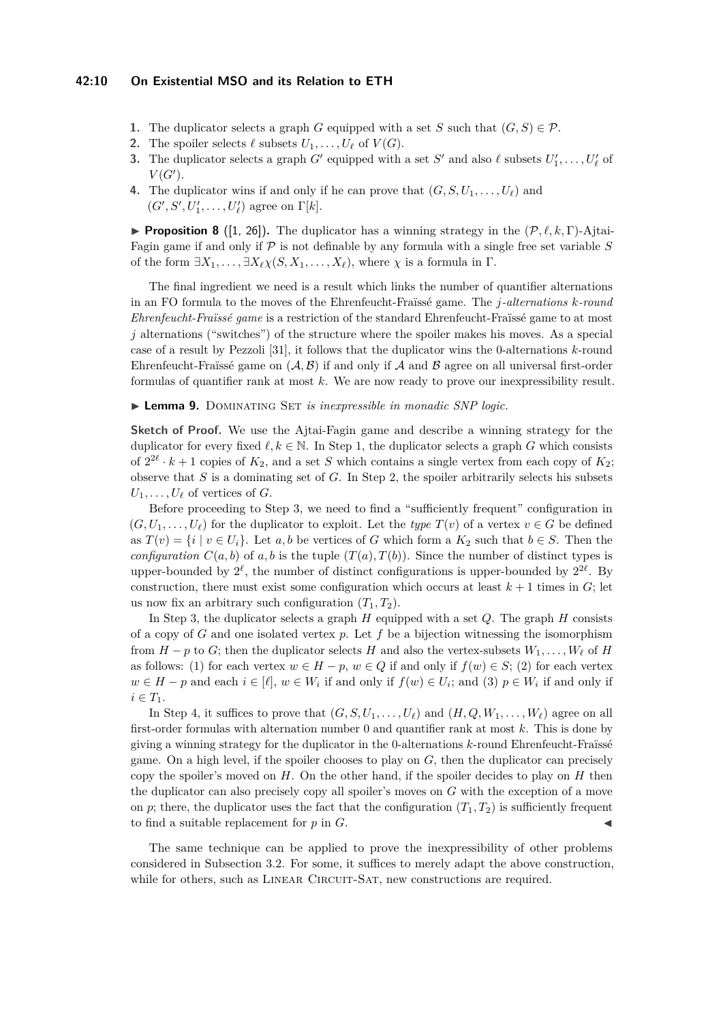#### **42:10 On Existential MSO and its Relation to ETH**

- **1.** The duplicator selects a graph *G* equipped with a set *S* such that  $(G, S) \in \mathcal{P}$ .
- **2.** The spoiler selects  $\ell$  subsets  $U_1, \ldots, U_\ell$  of  $V(G)$ .
- **3.** The duplicator selects a graph  $G'$  equipped with a set  $S'$  and also  $\ell$  subsets  $U'_1, \ldots, U'_{\ell}$  of  $V(G')$ .
- **4.** The duplicator wins if and only if he can prove that  $(G, S, U_1, \ldots, U_\ell)$  and  $(G', S', U'_1, \ldots, U'_\ell)$  agree on  $\Gamma[k]$ .

**Proposition 8** ([\[1,](#page-12-9) [26\]](#page-13-16)). The duplicator has a winning strategy in the  $(\mathcal{P}, \ell, k, \Gamma)$ -Ajtai-Fagin game if and only if P is not definable by any formula with a single free set variable *S* of the form  $\exists X_1, \ldots, \exists X_\ell \chi(S, X_1, \ldots, X_\ell)$ , where  $\chi$  is a formula in  $\Gamma$ .

The final ingredient we need is a result which links the number of quantifier alternations in an FO formula to the moves of the Ehrenfeucht-Fraïssé game. The *j-alternations k-round Ehrenfeucht-Fraïssé game* is a restriction of the standard Ehrenfeucht-Fraïssé game to at most *j* alternations ("switches") of the structure where the spoiler makes his moves. As a special case of a result by Pezzoli [\[31\]](#page-13-17), it follows that the duplicator wins the 0-alternations *k*-round Ehrenfeucht-Fraïssé game on  $(A, B)$  if and only if  $A$  and  $B$  agree on all universal first-order formulas of quantifier rank at most *k*. We are now ready to prove our inexpressibility result.

▶ Lemma 9. DOMINATING SET *is inexpressible in monadic SNP logic*.

**Sketch of Proof.** We use the Ajtai-Fagin game and describe a winning strategy for the duplicator for every fixed  $\ell, k \in \mathbb{N}$ . In Step 1, the duplicator selects a graph *G* which consists of  $2^{2\ell} \cdot k + 1$  copies of  $K_2$ , and a set *S* which contains a single vertex from each copy of  $K_2$ ; observe that *S* is a dominating set of *G*. In Step 2, the spoiler arbitrarily selects his subsets  $U_1, \ldots, U_\ell$  of vertices of *G*.

Before proceeding to Step 3, we need to find a "sufficiently frequent" configuration in  $(G, U_1, \ldots, U_\ell)$  for the duplicator to exploit. Let the *type*  $T(v)$  of a vertex  $v \in G$  be defined as  $T(v) = \{i \mid v \in U_i\}$ . Let *a, b* be vertices of *G* which form a  $K_2$  such that  $b \in S$ . Then the *configuration*  $C(a, b)$  of  $a, b$  is the tuple  $(T(a), T(b))$ . Since the number of distinct types is upper-bounded by  $2^{\ell}$ , the number of distinct configurations is upper-bounded by  $2^{2\ell}$ . By construction, there must exist some configuration which occurs at least  $k+1$  times in  $G$ ; let us now fix an arbitrary such configuration  $(T_1, T_2)$ .

In Step 3, the duplicator selects a graph *H* equipped with a set *Q*. The graph *H* consists of a copy of *G* and one isolated vertex *p*. Let *f* be a bijection witnessing the isomorphism from  $H - p$  to  $G$ ; then the duplicator selects  $H$  and also the vertex-subsets  $W_1, \ldots, W_\ell$  of  $H$ as follows: (1) for each vertex  $w \in H - p$ ,  $w \in Q$  if and only if  $f(w) \in S$ ; (2) for each vertex *w* ∈ *H* − *p* and each  $i \in [\ell], w \in W_i$  if and only if  $f(w) \in U_i$ ; and (3)  $p \in W_i$  if and only if  $i \in T_1$ .

In Step 4, it suffices to prove that  $(G, S, U_1, \ldots, U_\ell)$  and  $(H, Q, W_1, \ldots, W_\ell)$  agree on all first-order formulas with alternation number 0 and quantifier rank at most *k*. This is done by giving a winning strategy for the duplicator in the 0-alternations *k*-round Ehrenfeucht-Fraïssé game. On a high level, if the spoiler chooses to play on *G*, then the duplicator can precisely copy the spoiler's moved on *H*. On the other hand, if the spoiler decides to play on *H* then the duplicator can also precisely copy all spoiler's moves on *G* with the exception of a move on *p*; there, the duplicator uses the fact that the configuration  $(T_1, T_2)$  is sufficiently frequent to find a suitable replacement for  $p$  in  $G$ .

The same technique can be applied to prove the inexpressibility of other problems considered in Subsection [3.2.](#page-7-1) For some, it suffices to merely adapt the above construction, while for others, such as LINEAR CIRCUIT-SAT, new constructions are required.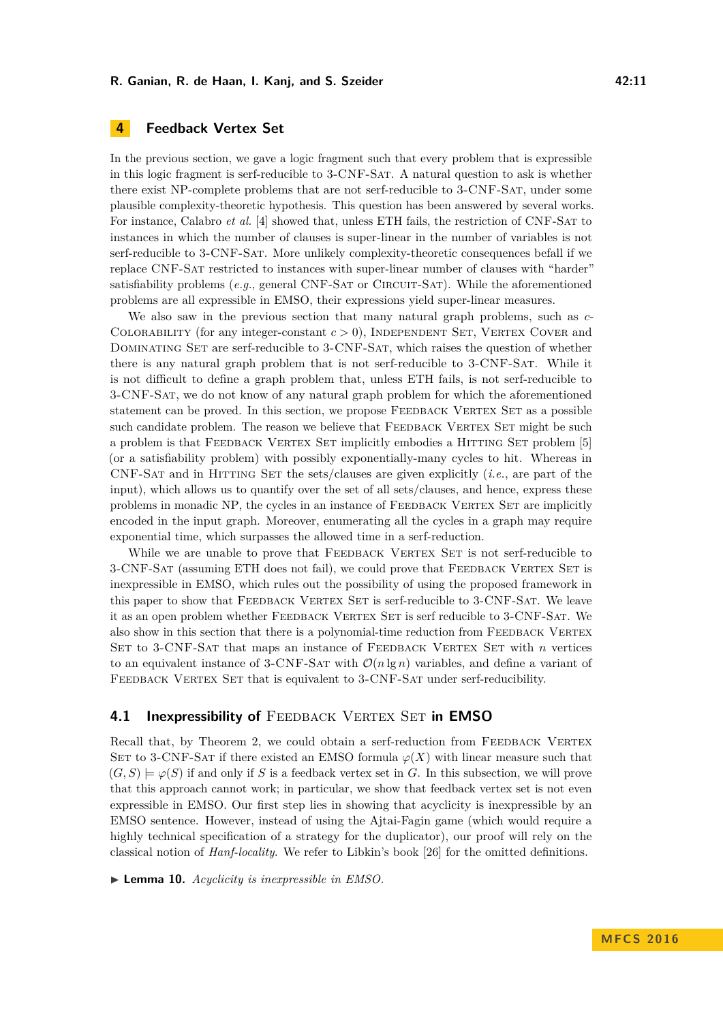# **4 Feedback Vertex Set**

In the previous section, we gave a logic fragment such that every problem that is expressible in this logic fragment is serf-reducible to 3-CNF-Sat. A natural question to ask is whether there exist NP-complete problems that are not serf-reducible to 3-CNF-Sat, under some plausible complexity-theoretic hypothesis. This question has been answered by several works. For instance, Calabro *et al.* [\[4\]](#page-12-10) showed that, unless ETH fails, the restriction of CNF-SAT to instances in which the number of clauses is super-linear in the number of variables is not serf-reducible to 3-CNF-Sat. More unlikely complexity-theoretic consequences befall if we replace CNF-Sat restricted to instances with super-linear number of clauses with "harder" satisfiability problems (*e.g.*, general CNF-SAT or CIRCUIT-SAT). While the aforementioned problems are all expressible in EMSO, their expressions yield super-linear measures.

We also saw in the previous section that many natural graph problems, such as *c*-COLORABILITY (for any integer-constant  $c > 0$ ), INDEPENDENT SET, VERTEX COVER and Dominating Set are serf-reducible to 3-CNF-Sat, which raises the question of whether there is any natural graph problem that is not serf-reducible to 3-CNF-Sat. While it is not difficult to define a graph problem that, unless ETH fails, is not serf-reducible to 3-CNF-Sat, we do not know of any natural graph problem for which the aforementioned statement can be proved. In this section, we propose FEEDBACK VERTEX SET as a possible such candidate problem. The reason we believe that FEEDBACK VERTEX SET might be such a problem is that FEEDBACK VERTEX SET implicitly embodies a HITTING SET problem [\[5\]](#page-12-11) (or a satisfiability problem) with possibly exponentially-many cycles to hit. Whereas in CNF-Sat and in Hitting Set the sets/clauses are given explicitly (*i.e.*, are part of the input), which allows us to quantify over the set of all sets/clauses, and hence, express these problems in monadic NP, the cycles in an instance of FEEDBACK VERTEX SET are implicitly encoded in the input graph. Moreover, enumerating all the cycles in a graph may require exponential time, which surpasses the allowed time in a serf-reduction.

While we are unable to prove that FEEDBACK VERTEX SET is not serf-reducible to 3-CNF-SAT (assuming ETH does not fail), we could prove that FEEDBACK VERTEX SET is inexpressible in EMSO, which rules out the possibility of using the proposed framework in this paper to show that FEEDBACK VERTEX SET is serf-reducible to 3-CNF-SAT. We leave it as an open problem whether FEEDBACK VERTEX SET is serf reducible to 3-CNF-SAT. We also show in this section that there is a polynomial-time reduction from FEEDBACK VERTEX SET to 3-CNF-SAT that maps an instance of FEEDBACK VERTEX SET with *n* vertices to an equivalent instance of 3-CNF-SAT with  $\mathcal{O}(n \lg n)$  variables, and define a variant of FEEDBACK VERTEX SET that is equivalent to 3-CNF-SAT under serf-reducibility.

## **4.1 Inexpressibility of FEEDBACK VERTEX SET in EMSO**

Recall that, by Theorem [2,](#page-6-3) we could obtain a serf-reduction from FEEDBACK VERTEX SET to 3-CNF-SAT if there existed an EMSO formula  $\varphi(X)$  with linear measure such that  $(G, S) \models \varphi(S)$  if and only if *S* is a feedback vertex set in *G*. In this subsection, we will prove that this approach cannot work; in particular, we show that feedback vertex set is not even expressible in EMSO. Our first step lies in showing that acyclicity is inexpressible by an EMSO sentence. However, instead of using the Ajtai-Fagin game (which would require a highly technical specification of a strategy for the duplicator), our proof will rely on the classical notion of *Hanf-locality*. We refer to Libkin's book [\[26\]](#page-13-16) for the omitted definitions.

▶ **Lemma 10.** *Acyclicity is inexpressible in EMSO.*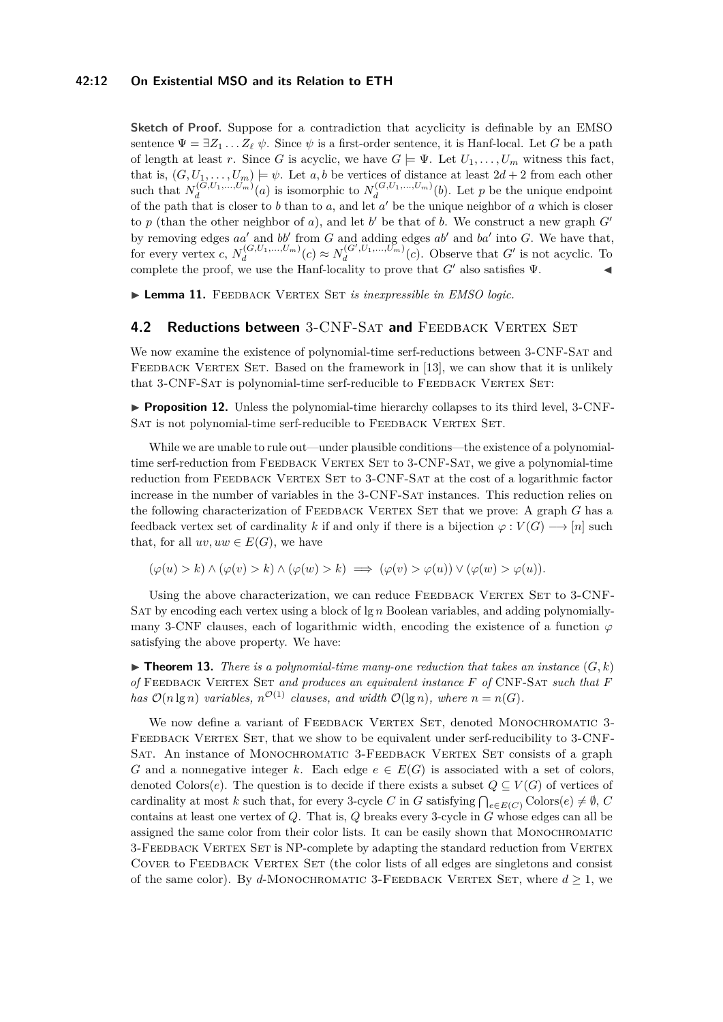#### **42:12 On Existential MSO and its Relation to ETH**

**Sketch of Proof.** Suppose for a contradiction that acyclicity is definable by an EMSO sentence  $\Psi = \exists Z_1 \dots Z_\ell \psi$ . Since  $\psi$  is a first-order sentence, it is Hanf-local. Let *G* be a path of length at least *r*. Since *G* is acyclic, we have  $G \models \Psi$ . Let  $U_1, \ldots, U_m$  witness this fact, that is,  $(G, U_1, \ldots, U_m) \models \psi$ . Let *a*, *b* be vertices of distance at least  $2d + 2$  from each other such that  $N_d^{(G,U_1,...,U_m)}(a)$  is isomorphic to  $N_d^{(G,U_1,...,U_m)}(b)$ . Let *p* be the unique endpoint of the path that is closer to  $b$  than to  $a$ , and let  $a'$  be the unique neighbor of  $a$  which is closer to  $p$  (than the other neighbor of  $a$ ), and let  $b'$  be that of  $b$ . We construct a new graph  $G'$ by removing edges  $aa'$  and  $bb'$  from  $G$  and adding edges  $ab'$  and  $ba'$  into  $G$ . We have that, for every vertex *c*,  $N_d^{(G,U_1,...,U_m)}(c) \approx N_d^{(G',U_1,...,U_m)}(c)$ . Observe that *G*<sup>*i*</sup> is not acyclic. To complete the proof, we use the Hanf-locality to prove that  $G'$  also satisfies  $\Psi$ .

▶ Lemma 11. FEEDBACK VERTEX SET *is inexpressible in EMSO logic*.

# **4.2 Reductions between** 3-CNF-SAT and FEEDBACK VERTEX SET

We now examine the existence of polynomial-time serf-reductions between 3-CNF-Sat and FEEDBACK VERTEX SET. Based on the framework in [\[13\]](#page-13-18), we can show that it is unlikely that 3-CNF-SAT is polynomial-time serf-reducible to FEEDBACK VERTEX SET:

**Proposition 12.** Unless the polynomial-time hierarchy collapses to its third level, 3-CNF-SAT is not polynomial-time serf-reducible to FEEDBACK VERTEX SET.

While we are unable to rule out—under plausible conditions—the existence of a polynomialtime serf-reduction from FEEDBACK VERTEX SET to 3-CNF-SAT, we give a polynomial-time reduction from FEEDBACK VERTEX SET to 3-CNF-SAT at the cost of a logarithmic factor increase in the number of variables in the 3-CNF-Sat instances. This reduction relies on the following characterization of FEEDBACK VERTEX SET that we prove: A graph *G* has a feedback vertex set of cardinality k if and only if there is a bijection  $\varphi: V(G) \longrightarrow [n]$  such that, for all  $uv, uw \in E(G)$ , we have

 $(\varphi(u) > k) \wedge (\varphi(v) > k) \wedge (\varphi(w) > k) \implies (\varphi(v) > \varphi(u)) \vee (\varphi(w) > \varphi(u)).$ 

Using the above characterization, we can reduce FEEDBACK VERTEX SET to 3-CNF-Sat by encoding each vertex using a block of lg *n* Boolean variables, and adding polynomiallymany 3-CNF clauses, each of logarithmic width, encoding the existence of a function  $\varphi$ satisfying the above property. We have:

 $\triangleright$  **Theorem 13.** *There is a polynomial-time many-one reduction that takes an instance*  $(G, k)$ *of* Feedback Vertex Set *and produces an equivalent instance F of* CNF-Sat *such that F has*  $\mathcal{O}(n \lg n)$  *variables,*  $n^{\mathcal{O}(1)}$  *clauses,* and *width*  $\mathcal{O}(\lg n)$ *, where*  $n = n(G)$ *.* 

We now define a variant of FEEDBACK VERTEX SET, denoted MONOCHROMATIC 3-FEEDBACK VERTEX SET, that we show to be equivalent under serf-reducibility to 3-CNF-SAT. An instance of MONOCHROMATIC 3-FEEDBACK VERTEX SET consists of a graph *G* and a nonnegative integer *k*. Each edge  $e \in E(G)$  is associated with a set of colors, denoted Colors(*e*). The question is to decide if there exists a subset  $Q \subseteq V(G)$  of vertices of cardinality at most *k* such that, for every 3-cycle *C* in *G* satisfying  $\bigcap_{e \in E(C)} \text{Colors}(e) \neq \emptyset$ , *C* contains at least one vertex of *Q*. That is, *Q* breaks every 3-cycle in *G* whose edges can all be assigned the same color from their color lists. It can be easily shown that MONOCHROMATIC 3-FEEDBACK VERTEX SET is NP-complete by adapting the standard reduction from VERTEX COVER to FEEDBACK VERTEX SET (the color lists of all edges are singletons and consist of the same color). By  $d$ -MONOCHROMATIC 3-FEEDBACK VERTEX SET, where  $d \geq 1$ , we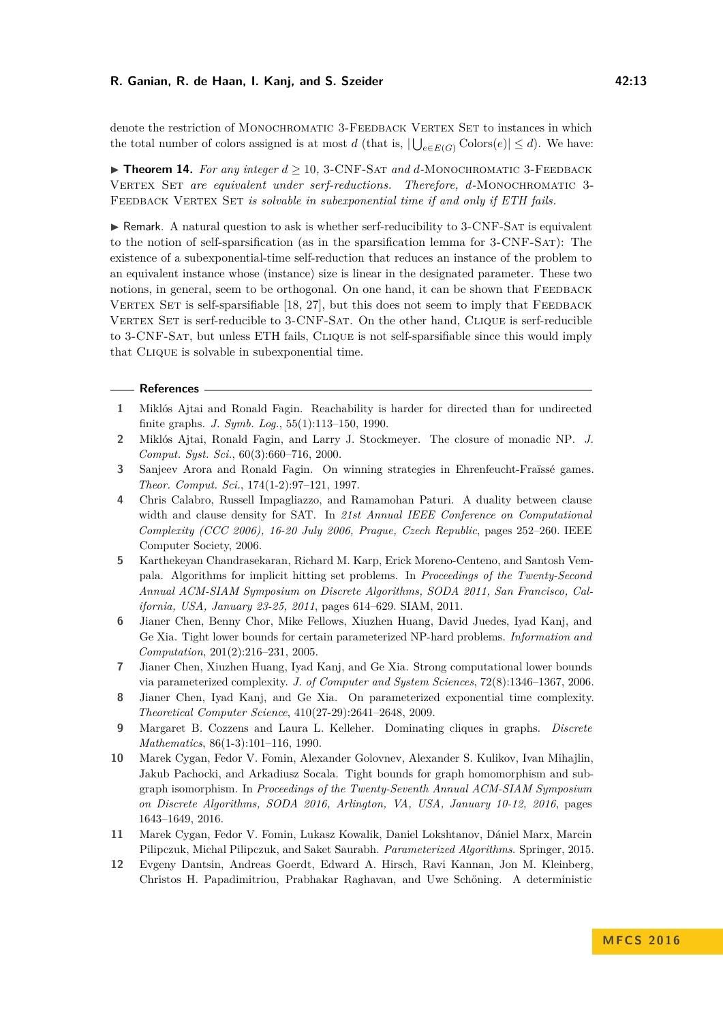denote the restriction of MONOCHROMATIC 3-FEEDBACK VERTEX SET to instances in which the total number of colors assigned is at most *d* (that is,  $|\bigcup_{e \in E(G)} \text{Colors}(e)| \leq d$ ). We have:

 $\triangleright$  **Theorem 14.** For any integer  $d > 10$ , 3-CNF-SAT and d-MONOCHROMATIC 3-FEEDBACK VERTEX SET are equivalent under serf-reductions. Therefore, d-MONOCHROMATIC 3-FEEDBACK VERTEX SET *is solvable in subexponential time if and only if ETH fails.* 

 $\triangleright$  Remark. A natural question to ask is whether serf-reducibility to 3-CNF-SAT is equivalent to the notion of self-sparsification (as in the sparsification lemma for 3-CNF-Sat): The existence of a subexponential-time self-reduction that reduces an instance of the problem to an equivalent instance whose (instance) size is linear in the designated parameter. These two notions, in general, seem to be orthogonal. On one hand, it can be shown that FEEDBACK VERTEX SET is self-sparsifiable  $[18, 27]$  $[18, 27]$  $[18, 27]$ , but this does not seem to imply that FEEDBACK VERTEX SET is serf-reducible to 3-CNF-SAT. On the other hand, CLIQUE is serf-reducible to 3-CNF-Sat, but unless ETH fails, Clique is not self-sparsifiable since this would imply that Clique is solvable in subexponential time.

## **References**

- <span id="page-12-9"></span>**1** Miklós Ajtai and Ronald Fagin. Reachability is harder for directed than for undirected finite graphs. *J. Symb. Log.*, 55(1):113–150, 1990.
- <span id="page-12-4"></span>**2** Miklós Ajtai, Ronald Fagin, and Larry J. Stockmeyer. The closure of monadic NP. *J. Comput. Syst. Sci.*, 60(3):660–716, 2000.
- <span id="page-12-5"></span>**3** Sanjeev Arora and Ronald Fagin. On winning strategies in Ehrenfeucht-Fraïssé games. *Theor. Comput. Sci.*, 174(1-2):97–121, 1997.
- <span id="page-12-10"></span>**4** Chris Calabro, Russell Impagliazzo, and Ramamohan Paturi. A duality between clause width and clause density for SAT. In *21st Annual IEEE Conference on Computational Complexity (CCC 2006), 16-20 July 2006, Prague, Czech Republic*, pages 252–260. IEEE Computer Society, 2006.
- <span id="page-12-11"></span>**5** Karthekeyan Chandrasekaran, Richard M. Karp, Erick Moreno-Centeno, and Santosh Vempala. Algorithms for implicit hitting set problems. In *Proceedings of the Twenty-Second Annual ACM-SIAM Symposium on Discrete Algorithms, SODA 2011, San Francisco, California, USA, January 23-25, 2011*, pages 614–629. SIAM, 2011.
- <span id="page-12-1"></span>**6** Jianer Chen, Benny Chor, Mike Fellows, Xiuzhen Huang, David Juedes, Iyad Kanj, and Ge Xia. Tight lower bounds for certain parameterized NP-hard problems. *Information and Computation*, 201(2):216–231, 2005.
- <span id="page-12-2"></span>**7** Jianer Chen, Xiuzhen Huang, Iyad Kanj, and Ge Xia. Strong computational lower bounds via parameterized complexity. *J. of Computer and System Sciences*, 72(8):1346–1367, 2006.
- <span id="page-12-6"></span>**8** Jianer Chen, Iyad Kanj, and Ge Xia. On parameterized exponential time complexity. *Theoretical Computer Science*, 410(27-29):2641–2648, 2009.
- <span id="page-12-8"></span>**9** Margaret B. Cozzens and Laura L. Kelleher. Dominating cliques in graphs. *Discrete Mathematics*, 86(1-3):101–116, 1990.
- <span id="page-12-3"></span>**10** Marek Cygan, Fedor V. Fomin, Alexander Golovnev, Alexander S. Kulikov, Ivan Mihajlin, Jakub Pachocki, and Arkadiusz Socala. Tight bounds for graph homomorphism and subgraph isomorphism. In *Proceedings of the Twenty-Seventh Annual ACM-SIAM Symposium on Discrete Algorithms, SODA 2016, Arlington, VA, USA, January 10-12, 2016*, pages 1643–1649, 2016.
- <span id="page-12-7"></span>**11** Marek Cygan, Fedor V. Fomin, Lukasz Kowalik, Daniel Lokshtanov, Dániel Marx, Marcin Pilipczuk, Michal Pilipczuk, and Saket Saurabh. *Parameterized Algorithms*. Springer, 2015.
- <span id="page-12-0"></span>**12** Evgeny Dantsin, Andreas Goerdt, Edward A. Hirsch, Ravi Kannan, Jon M. Kleinberg, Christos H. Papadimitriou, Prabhakar Raghavan, and Uwe Schöning. A deterministic